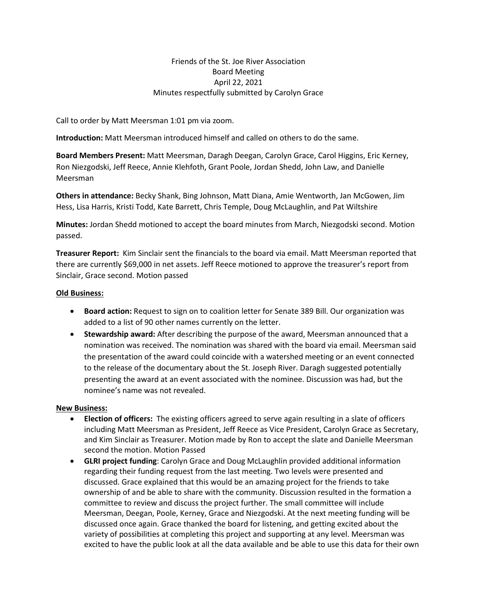## Friends of the St. Joe River Association Board Meeting April 22, 2021 Minutes respectfully submitted by Carolyn Grace

Call to order by Matt Meersman 1:01 pm via zoom.

**Introduction:** Matt Meersman introduced himself and called on others to do the same.

**Board Members Present:** Matt Meersman, Daragh Deegan, Carolyn Grace, Carol Higgins, Eric Kerney, Ron Niezgodski, Jeff Reece, Annie Klehfoth, Grant Poole, Jordan Shedd, John Law, and Danielle Meersman

**Others in attendance:** Becky Shank, Bing Johnson, Matt Diana, Amie Wentworth, Jan McGowen, Jim Hess, Lisa Harris, Kristi Todd, Kate Barrett, Chris Temple, Doug McLaughlin, and Pat Wiltshire

**Minutes:** Jordan Shedd motioned to accept the board minutes from March, Niezgodski second. Motion passed.

**Treasurer Report:** Kim Sinclair sent the financials to the board via email. Matt Meersman reported that there are currently \$69,000 in net assets. Jeff Reece motioned to approve the treasurer's report from Sinclair, Grace second. Motion passed

## **Old Business:**

- **Board action:** Request to sign on to coalition letter for Senate 389 Bill. Our organization was added to a list of 90 other names currently on the letter.
- **Stewardship award:** After describing the purpose of the award, Meersman announced that a nomination was received. The nomination was shared with the board via email. Meersman said the presentation of the award could coincide with a watershed meeting or an event connected to the release of the documentary about the St. Joseph River. Daragh suggested potentially presenting the award at an event associated with the nominee. Discussion was had, but the nominee's name was not revealed.

## **New Business:**

- **Election of officers:** The existing officers agreed to serve again resulting in a slate of officers including Matt Meersman as President, Jeff Reece as Vice President, Carolyn Grace as Secretary, and Kim Sinclair as Treasurer. Motion made by Ron to accept the slate and Danielle Meersman second the motion. Motion Passed
- **GLRI project funding**: Carolyn Grace and Doug McLaughlin provided additional information regarding their funding request from the last meeting. Two levels were presented and discussed. Grace explained that this would be an amazing project for the friends to take ownership of and be able to share with the community. Discussion resulted in the formation a committee to review and discuss the project further. The small committee will include Meersman, Deegan, Poole, Kerney, Grace and Niezgodski. At the next meeting funding will be discussed once again. Grace thanked the board for listening, and getting excited about the variety of possibilities at completing this project and supporting at any level. Meersman was excited to have the public look at all the data available and be able to use this data for their own